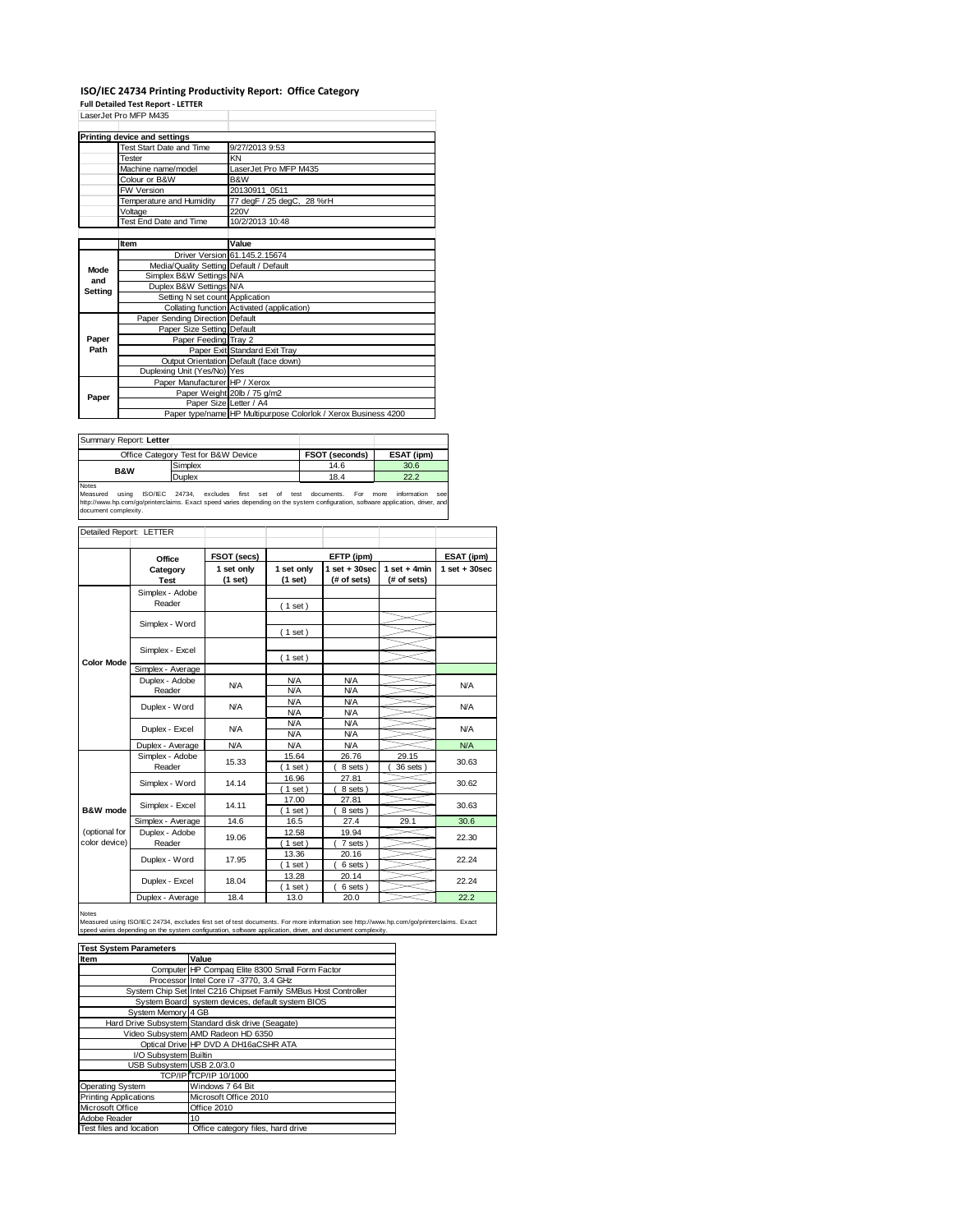## **ISO/IEC 24734 Printing Productivity Report: Office Category**

**Full Detailed Test Report ‐ LETTER** LaserJet Pro MFP M435

|         | LaserJet Pro MFP M435                   |                                                                |  |
|---------|-----------------------------------------|----------------------------------------------------------------|--|
|         | <b>Printing device and settings</b>     |                                                                |  |
|         | Test Start Date and Time                | 9/27/2013 9:53                                                 |  |
|         | Tester                                  | KN                                                             |  |
|         | Machine name/model                      | LaserJet Pro MFP M435                                          |  |
|         | Colour or B&W                           | B&W                                                            |  |
|         | <b>FW Version</b>                       | 20130911 0511                                                  |  |
|         | Temperature and Humidity                | 77 degF / 25 degC, 28 %rH                                      |  |
|         | Voltage                                 | 220V                                                           |  |
|         | Test End Date and Time                  | 10/2/2013 10:48                                                |  |
|         |                                         |                                                                |  |
|         | Item                                    | Value                                                          |  |
|         |                                         | Driver Version 61.145.2.15674                                  |  |
| Mode    | Media/Quality Setting Default / Default |                                                                |  |
| and     | Simplex B&W Settings N/A                |                                                                |  |
| Setting | Duplex B&W Settings N/A                 |                                                                |  |
|         | Setting N set count Application         |                                                                |  |
|         |                                         | Collating function Activated (application)                     |  |
|         | Paper Sending Direction Default         |                                                                |  |
|         | Paper Size Setting Default              |                                                                |  |
| Paper   | Paper Feeding Tray 2                    |                                                                |  |
| Path    |                                         | Paper Exit Standard Exit Tray                                  |  |
|         |                                         | Output Orientation Default (face down)                         |  |
|         | Duplexing Unit (Yes/No) Yes             |                                                                |  |
|         | Paper Manufacturer HP / Xerox           |                                                                |  |
| Paper   |                                         | Paper Weight 20lb / 75 g/m2                                    |  |
|         |                                         | Paper Size Letter / A4                                         |  |
|         |                                         | Paper type/name HP Multipurpose Colorlok / Xerox Business 4200 |  |

| Summary Report: Letter |                                     |                       |            |
|------------------------|-------------------------------------|-----------------------|------------|
|                        | Office Category Test for B&W Device | <b>FSOT (seconds)</b> | ESAT (ipm) |
| <b>B&amp;W</b>         | Simplex                             | 14.6                  | 30.6       |
|                        | Duplex                              | 18.4                  | 22.2       |
| Notes                  |                                     |                       |            |

Notes<br>Measured using ISO/IEC 24734, excludes first set of test documents. For more information see<br>http://www.hp.com/go/printerclaims.Exactspeed-varies-depending.on.the.system.configuration,software.application,driver,and<br>

| Detailed Report: LETTER        |                           |                       |                          |                                 |                               |                  |
|--------------------------------|---------------------------|-----------------------|--------------------------|---------------------------------|-------------------------------|------------------|
|                                | Office                    | FSOT (secs)           |                          | EFTP (ipm)                      |                               | ESAT (ipm)       |
|                                | Category<br><b>Test</b>   | 1 set only<br>(1 set) | 1 set only<br>(1 set)    | $1 set + 30 sec$<br>(# of sets) | $1$ set + 4min<br>(# of sets) | $1 set + 30 sec$ |
|                                | Simplex - Adobe<br>Reader |                       | (1 set)                  |                                 |                               |                  |
|                                | Simplex - Word            |                       | $1$ set)                 |                                 |                               |                  |
|                                | Simplex - Excel           |                       |                          |                                 |                               |                  |
| <b>Color Mode</b>              | Simplex - Average         |                       | $1$ set)                 |                                 |                               |                  |
|                                | Duplex - Adobe<br>Reader  | N/A                   | <b>N/A</b><br>N/A        | N/A<br>N/A                      |                               | N/A              |
|                                | Duplex - Word             | <b>N/A</b>            | N/A<br>N/A               | <b>N/A</b><br><b>N/A</b>        |                               | N/A              |
|                                | Duplex - Excel            | <b>N/A</b>            | <b>N/A</b><br><b>N/A</b> | <b>N/A</b><br><b>N/A</b>        |                               | N/A              |
|                                | Duplex - Average          | <b>N/A</b>            | <b>N/A</b>               | <b>N/A</b>                      |                               | N/A              |
|                                | Simplex - Adobe<br>Reader | 15.33                 | 15.64<br>$1$ set         | 26.76<br>8 sets )               | 29.15<br>36 sets              | 30.63            |
|                                | Simplex - Word            | 14.14                 | 16.96<br>$1$ set)        | 27.81<br>8 sets)                |                               | 30.62            |
| B&W mode                       | Simplex - Excel           | 14.11                 | 17.00<br>$1$ set)        | 27.81<br>8 sets)                |                               | 30.63            |
|                                | Simplex - Average         | 14.6                  | 16.5                     | 27.4                            | 29.1                          | 30.6             |
| (optional for<br>color device) | Duplex - Adobe<br>Reader  | 19.06                 | 12.58<br>$1$ set)        | 19.94<br>7 sets)                |                               | 22.30            |
|                                | Duplex - Word             | 17.95                 | 13.36<br>$1$ set)        | 20.16<br>6 sets)                |                               | 22.24            |
|                                | Duplex - Excel            | 18.04                 | 13.28<br>$1$ set         | 20.14<br>6 sets)                |                               | 22.24            |
|                                | Duplex - Average          | 18.4                  | 13.0                     | 20.0                            |                               | 22.2             |

Notes

Measured using ISO/IEC 24734, excludes first set of test documents. For more information see http://www.hp.com/go/printerclaims. Exact<br>speed varies depending on the system configuration, software application, driver, and d

| <b>Test System Parameters</b> |                                                                 |  |  |  |  |
|-------------------------------|-----------------------------------------------------------------|--|--|--|--|
| Item                          | Value                                                           |  |  |  |  |
|                               | Computer HP Compaq Elite 8300 Small Form Factor                 |  |  |  |  |
|                               | Processor Intel Core i7 -3770, 3.4 GHz                          |  |  |  |  |
|                               | System Chip Set Intel C216 Chipset Family SMBus Host Controller |  |  |  |  |
|                               | System Board system devices, default system BIOS                |  |  |  |  |
| System Memory 4 GB            |                                                                 |  |  |  |  |
|                               | Hard Drive Subsystem Standard disk drive (Seagate)              |  |  |  |  |
|                               | Video Subsystem AMD Radeon HD 6350                              |  |  |  |  |
|                               | Optical Drive HP DVD A DH16aCSHR ATA                            |  |  |  |  |
| I/O Subsystem Builtin         |                                                                 |  |  |  |  |
| USB Subsystem USB 2.0/3.0     |                                                                 |  |  |  |  |
|                               | <b>TCP/IP TCP/IP 10/1000</b>                                    |  |  |  |  |
| <b>Operating System</b>       | Windows 7 64 Bit                                                |  |  |  |  |
| <b>Printing Applications</b>  | Microsoft Office 2010                                           |  |  |  |  |
| Microsoft Office              | Office 2010                                                     |  |  |  |  |
| Adobe Reader                  | 10                                                              |  |  |  |  |
| Test files and location       | Office category files, hard drive                               |  |  |  |  |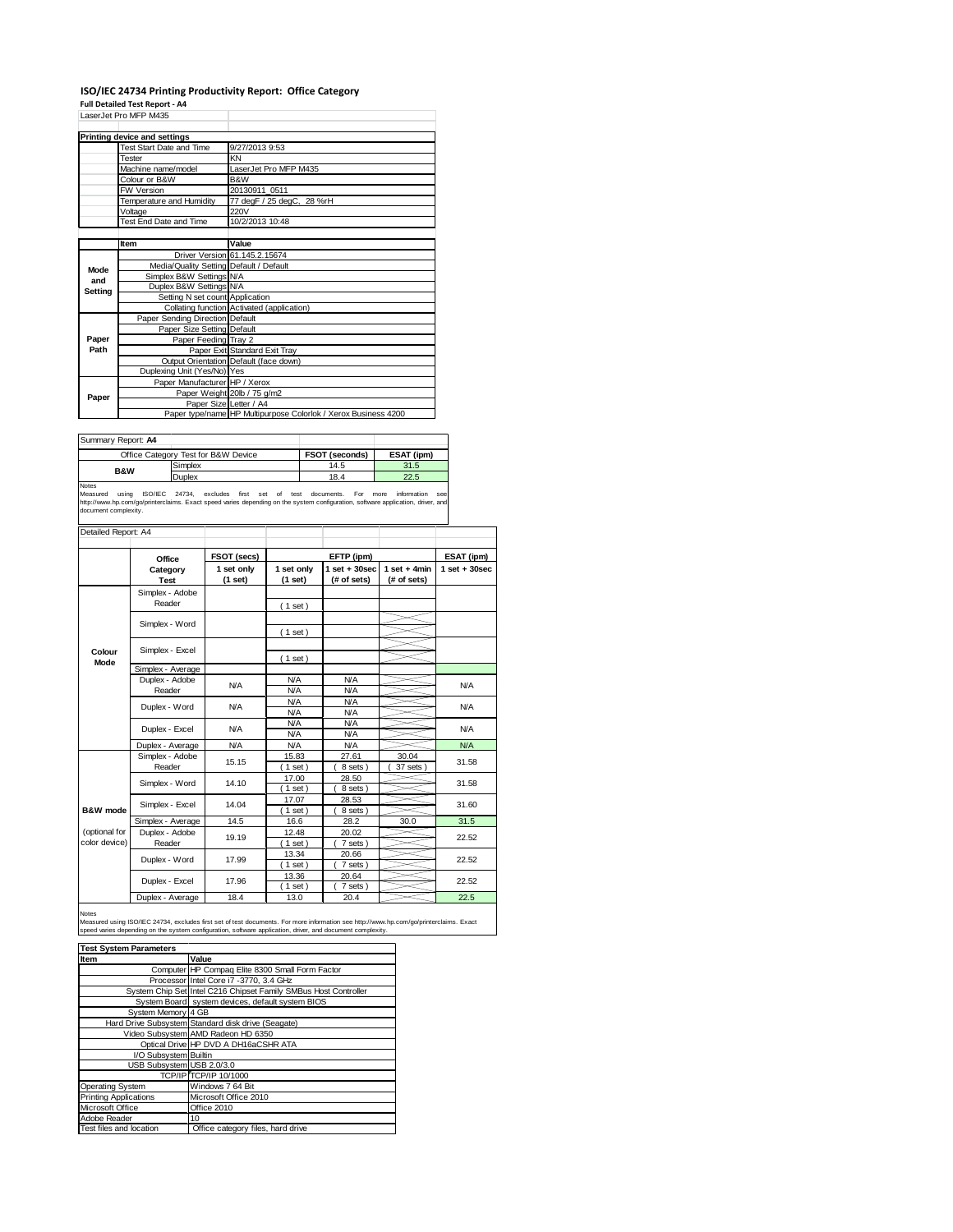## **ISO/IEC 24734 Printing Productivity Report: Office Category**

**Full Detailed Test Report ‐ A4** LaserJet Pro MFP M435

|         | LASCIJEL FIU IVIFF IVI <del>T</del> JJ  |                                                                |  |
|---------|-----------------------------------------|----------------------------------------------------------------|--|
|         | <b>Printing device and settings</b>     |                                                                |  |
|         | Test Start Date and Time                | 9/27/2013 9:53                                                 |  |
|         | <b>Tester</b>                           | KN                                                             |  |
|         | Machine name/model                      | LaserJet Pro MFP M435                                          |  |
|         | Colour or B&W                           | B&W                                                            |  |
|         | <b>FW Version</b>                       | 20130911 0511                                                  |  |
|         | Temperature and Humidity                | 77 degF / 25 degC, 28 %rH                                      |  |
|         | Voltage                                 | 220V                                                           |  |
|         | Test End Date and Time                  | 10/2/2013 10:48                                                |  |
|         |                                         |                                                                |  |
|         | Item                                    | Value                                                          |  |
|         |                                         | Driver Version 61.145.2.15674                                  |  |
| Mode    | Media/Quality Setting Default / Default |                                                                |  |
| and     | Simplex B&W Settings N/A                |                                                                |  |
| Setting | Duplex B&W Settings N/A                 |                                                                |  |
|         | Setting N set count Application         |                                                                |  |
|         |                                         | Collating function Activated (application)                     |  |
|         | Paper Sending Direction Default         |                                                                |  |
|         | Paper Size Setting Default              |                                                                |  |
| Paper   | Paper Feeding Tray 2                    |                                                                |  |
| Path    |                                         | Paper Exit Standard Exit Tray                                  |  |
|         |                                         | Output Orientation Default (face down)                         |  |
|         | Duplexing Unit (Yes/No) Yes             |                                                                |  |
|         | Paper Manufacturer HP / Xerox           |                                                                |  |
| Paper   |                                         | Paper Weight 20lb / 75 g/m2                                    |  |
|         | Paper Size Letter / A4                  |                                                                |  |
|         |                                         | Paper type/name HP Multipurpose Colorlok / Xerox Business 4200 |  |

| Summary Report: A4 |                                     |                |            |
|--------------------|-------------------------------------|----------------|------------|
|                    | Office Category Test for B&W Device | FSOT (seconds) | ESAT (ipm) |
| B&W                | Simplex                             | 14.5           | 31.5       |
|                    | Duplex                              | 18.4           | 22.5       |
|                    |                                     |                |            |

Notes<br>Measured using ISO/IEC 24734, excludes first set of test documents. For more information see<br>http://www.hp.com/go/printerclaims.Exactspeed-varies-depending.on-the-system-configuration,software-application,driver,and<br>

| Detailed Report: A4 |                                     |             |                  |                  |                |                   |
|---------------------|-------------------------------------|-------------|------------------|------------------|----------------|-------------------|
|                     |                                     |             |                  |                  |                |                   |
|                     | Office                              | FSOT (secs) |                  | EFTP (ipm)       |                | ESAT (ipm)        |
|                     | Category                            | 1 set only  | 1 set only       | $1 set + 30 sec$ | $1$ set + 4min | $1$ set $+30$ sec |
|                     | <b>Test</b>                         | (1 set)     | (1 set)          | (# of sets)      | (# of sets)    |                   |
|                     | Simplex - Adobe                     |             |                  |                  |                |                   |
|                     | Reader                              |             | (1 set)          |                  |                |                   |
|                     |                                     |             |                  |                  |                |                   |
|                     | Simplex - Word                      |             | $1$ set)         |                  |                |                   |
|                     |                                     |             |                  |                  |                |                   |
| Colour<br>Mode      | Simplex - Excel                     |             | $1$ set)         |                  |                |                   |
|                     | Simplex - Average                   |             |                  |                  |                |                   |
|                     | Duplex - Adobe                      | N/A         | <b>N/A</b>       | <b>N/A</b>       |                | N/A               |
|                     | Reader                              |             | N/A              | N/A              |                |                   |
|                     | Duplex - Word                       | <b>N/A</b>  | N/A              | N/A              |                | N/A               |
|                     |                                     |             | <b>N/A</b>       | <b>N/A</b>       |                |                   |
|                     | Duplex - Excel                      | <b>N/A</b>  | <b>N/A</b>       | <b>N/A</b>       |                | N/A               |
|                     |                                     |             | <b>N/A</b>       | N/A              |                |                   |
|                     | Duplex - Average                    | <b>N/A</b>  | <b>N/A</b>       | <b>N/A</b>       |                | <b>N/A</b>        |
|                     | Simplex - Adobe                     | 15.15       | 15.83            | 27.61            | 30.04          | 31.58             |
|                     | Reader                              |             | $1$ set)         | 8 sets )         | 37 sets        |                   |
|                     | Simplex - Word                      | 14.10       | 17.00            | 28.50            |                | 31.58             |
|                     |                                     |             | $1$ set)         | 8 sets)          |                |                   |
| B&W mode            | Simplex - Excel                     | 14.04       | 17.07            | 28.53            |                | 31.60             |
|                     |                                     | 14.5        | $1$ set)<br>16.6 | 8 sets)<br>28.2  | 30.0           | 31.5              |
| (optional for       | Simplex - Average<br>Duplex - Adobe |             | 12.48            | 20.02            |                |                   |
| color device)       | Reader                              | 19.19       | $1$ set)         | 7 sets)          |                | 22.52             |
|                     |                                     |             | 13.34            | 20.66            |                |                   |
|                     | Duplex - Word                       | 17.99       | $1$ set)         | 7 sets)          |                | 22.52             |
|                     |                                     |             | 13.36            | 20.64            |                |                   |
|                     | Duplex - Excel                      | 17.96       | $1$ set)         | 7 sets)          |                | 22.52             |
|                     | Duplex - Average                    | 18.4        | 13.0             | 20.4             |                | 22.5              |

Notes<br>Measured using ISO/IEC 24734, excludes first set of test documents. For more information see http://www.hp.com/go/printerclaims. Exact<br>speed varies depending on the system configuration, software application, driver,

| <b>Test System Parameters</b> |                                                                 |  |  |  |
|-------------------------------|-----------------------------------------------------------------|--|--|--|
| Item                          | Value                                                           |  |  |  |
|                               | Computer HP Compaq Elite 8300 Small Form Factor                 |  |  |  |
|                               | Processor Intel Core i7 -3770, 3.4 GHz                          |  |  |  |
|                               | System Chip Set Intel C216 Chipset Family SMBus Host Controller |  |  |  |
|                               | System Board system devices, default system BIOS                |  |  |  |
| System Memory 4 GB            |                                                                 |  |  |  |
|                               | Hard Drive Subsystem Standard disk drive (Seagate)              |  |  |  |
|                               | Video Subsystem AMD Radeon HD 6350                              |  |  |  |
|                               | Optical Drive HP DVD A DH16aCSHR ATA                            |  |  |  |
| I/O Subsystem Builtin         |                                                                 |  |  |  |
| USB Subsystem USB 2.0/3.0     |                                                                 |  |  |  |
|                               | TCP/IP TCP/IP 10/1000                                           |  |  |  |
| <b>Operating System</b>       | Windows 7 64 Bit                                                |  |  |  |
| <b>Printing Applications</b>  | Microsoft Office 2010                                           |  |  |  |
| Microsoft Office              | Office 2010                                                     |  |  |  |
| Adobe Reader                  | 10                                                              |  |  |  |
| Test files and location       | Office category files, hard drive                               |  |  |  |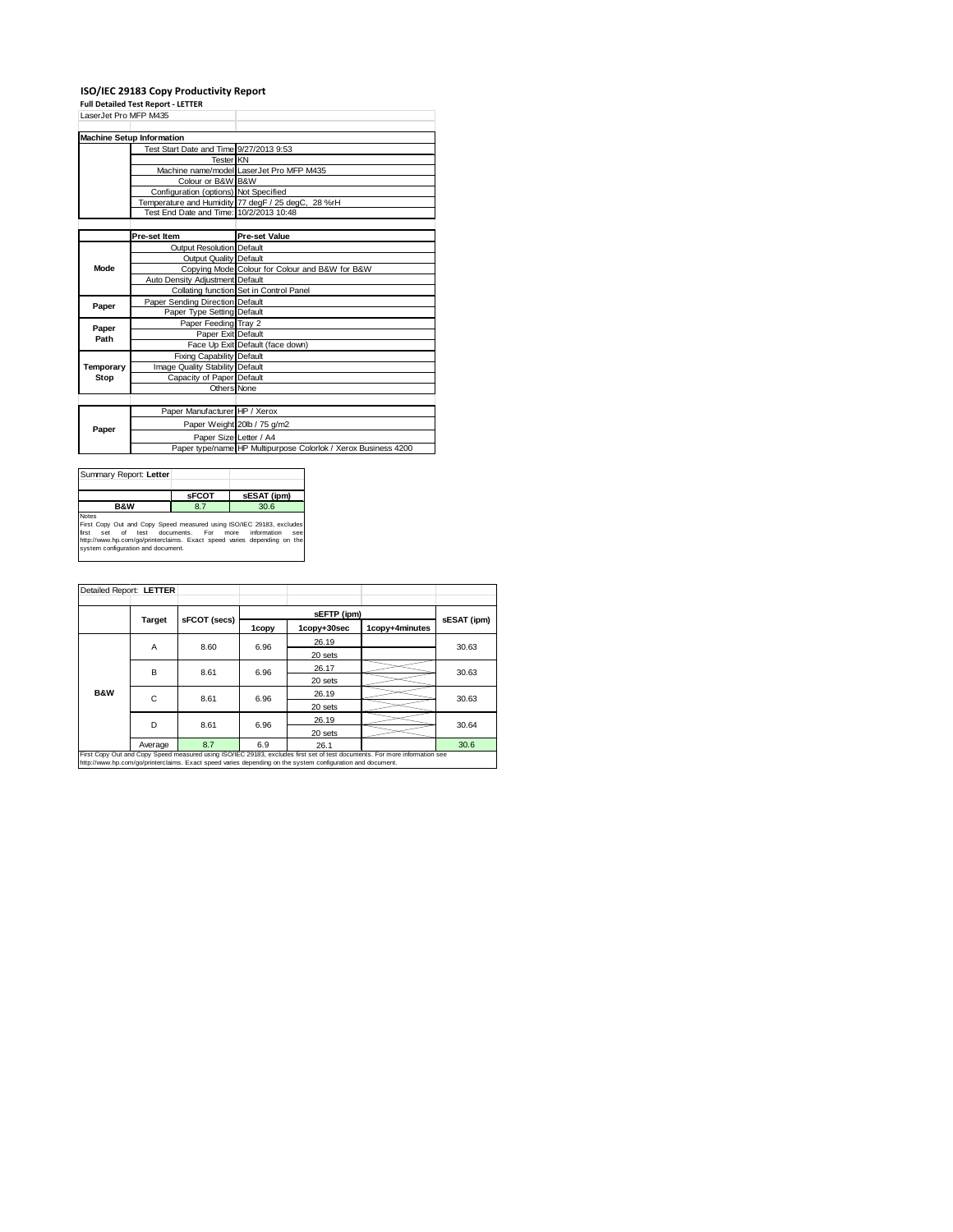## **ISO/IEC 29183 Copy Productivity Report Full Detailed Test Report ‐ LETTER**

|                       | rull Detailed Test Report - LETTER      |                                                                |
|-----------------------|-----------------------------------------|----------------------------------------------------------------|
| LaserJet Pro MFP M435 |                                         |                                                                |
|                       |                                         |                                                                |
|                       | <b>Machine Setup Information</b>        |                                                                |
|                       | Test Start Date and Time 9/27/2013 9:53 |                                                                |
|                       | <b>Tester KN</b>                        |                                                                |
|                       |                                         | Machine name/model LaserJet Pro MFP M435                       |
|                       | Colour or B&W B&W                       |                                                                |
|                       | Configuration (options) Not Specified   |                                                                |
|                       |                                         | Temperature and Humidity 77 degF / 25 degC, 28 %rH             |
|                       | Test End Date and Time: 10/2/2013 10:48 |                                                                |
|                       |                                         |                                                                |
|                       | Pre-set Item                            | <b>Pre-set Value</b>                                           |
|                       | <b>Output Resolution Default</b>        |                                                                |
|                       | Output Quality Default                  |                                                                |
| Mode                  |                                         | Copying Mode Colour for Colour and B&W for B&W                 |
|                       | Auto Density Adjustment Default         |                                                                |
|                       |                                         | Collating function Set in Control Panel                        |
|                       | Paper Sending Direction Default         |                                                                |
| Paper                 | Paper Type Setting Default              |                                                                |
|                       | Paper Feeding Tray 2                    |                                                                |
| Paper<br>Path         | Paper Exit Default                      |                                                                |
|                       |                                         | Face Up Exit Default (face down)                               |
|                       | Fixing Capability Default               |                                                                |
| Temporary             | Image Quality Stability Default         |                                                                |
| Stop                  | Capacity of Paper Default               |                                                                |
|                       | Others None                             |                                                                |
|                       |                                         |                                                                |
|                       | Paper Manufacturer HP / Xerox           |                                                                |
| Paper                 |                                         | Paper Weight 20lb / 75 g/m2                                    |
|                       | Paper Size Letter / A4                  |                                                                |
|                       |                                         | Paper type/name HP Multipurpose Colorlok / Xerox Business 4200 |
|                       |                                         |                                                                |

| Summary Report: Letter                                                                                                                                                                                                                                                           |              |             |  |  |
|----------------------------------------------------------------------------------------------------------------------------------------------------------------------------------------------------------------------------------------------------------------------------------|--------------|-------------|--|--|
|                                                                                                                                                                                                                                                                                  | <b>SFCOT</b> | sESAT (ipm) |  |  |
| <b>B&amp;W</b>                                                                                                                                                                                                                                                                   | 8.7          | 30.6        |  |  |
| <b>Notes</b><br>First Copy Out and Copy Speed measured using ISO/IEC 29183, excludes<br>information<br>first<br>test documents. For<br>of<br>more<br>see<br>Set<br>http://www.hp.com/go/printerclaims. Exact speed varies depending on the<br>system configuration and document. |              |             |  |  |

| Detailed Report: LETTER                                                                                                                                                                                                                  |           |              |       |             |                |             |
|------------------------------------------------------------------------------------------------------------------------------------------------------------------------------------------------------------------------------------------|-----------|--------------|-------|-------------|----------------|-------------|
|                                                                                                                                                                                                                                          |           | sFCOT (secs) |       | sEFTP (ipm) |                |             |
|                                                                                                                                                                                                                                          | Target    |              | 1copy | 1copy+30sec | 1copv+4minutes | sESAT (ipm) |
|                                                                                                                                                                                                                                          | A         | 8.60         | 6.96  | 26.19       |                | 30.63       |
|                                                                                                                                                                                                                                          |           |              |       | 20 sets     |                |             |
|                                                                                                                                                                                                                                          | B         | 8.61         | 6.96  | 26.17       |                | 30.63       |
|                                                                                                                                                                                                                                          |           |              |       | 20 sets     |                |             |
| <b>B&amp;W</b>                                                                                                                                                                                                                           |           | C<br>8.61    | 6.96  | 26.19       |                | 30.63       |
|                                                                                                                                                                                                                                          |           |              |       | 20 sets     |                |             |
|                                                                                                                                                                                                                                          | D<br>8.61 |              | 6.96  | 26.19       |                | 30.64       |
|                                                                                                                                                                                                                                          |           |              |       | 20 sets     |                |             |
|                                                                                                                                                                                                                                          | Average   | 8.7          | 6.9   | 26.1        |                | 30.6        |
| First Copy Out and Copy Speed measured using ISO/IEC 29183, excludes first set of test documents. For more information see<br>http://www.hp.com/go/printerclaims. Exact speed varies depending on the system configuration and document. |           |              |       |             |                |             |